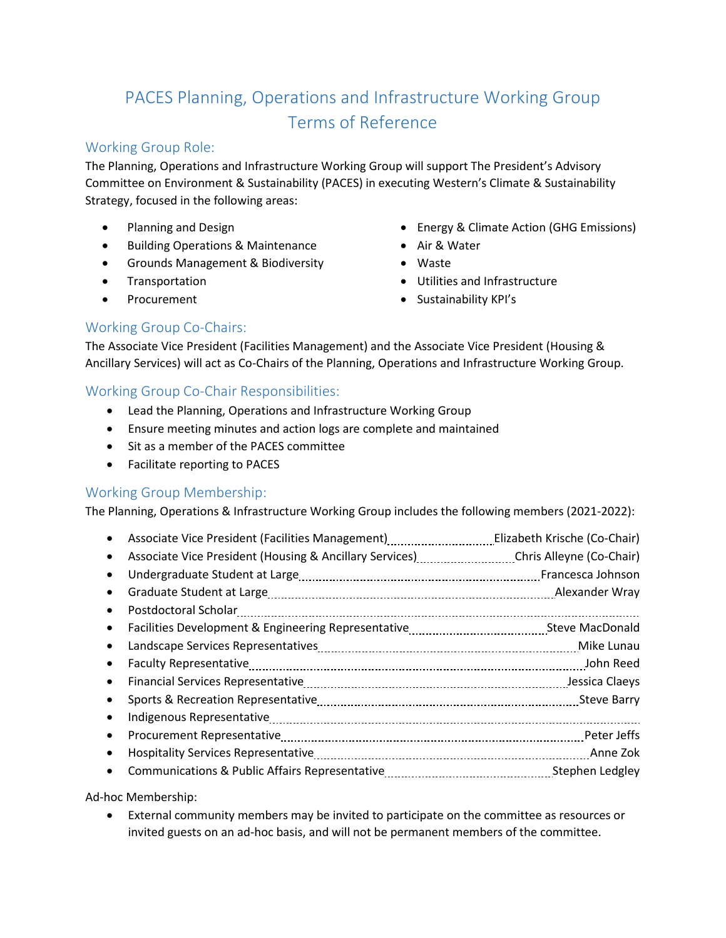# PACES Planning, Operations and Infrastructure Working Group Terms of Reference

# Working Group Role:

The Planning, Operations and Infrastructure Working Group will support The President's Advisory Committee on Environment & Sustainability (PACES) in executing Western's Climate & Sustainability Strategy, focused in the following areas:

- Planning and Design
- Building Operations & Maintenance
- Grounds Management & Biodiversity
- **Transportation**
- Procurement
- Energy & Climate Action (GHG Emissions)
- Air & Water
- Waste
- Utilities and Infrastructure
- Sustainability KPI's

# Working Group Co-Chairs:

The Associate Vice President (Facilities Management) and the Associate Vice President (Housing & Ancillary Services) will act as Co-Chairs of the Planning, Operations and Infrastructure Working Group.

# Working Group Co-Chair Responsibilities:

- Lead the Planning, Operations and Infrastructure Working Group
- Ensure meeting minutes and action logs are complete and maintained
- Sit as a member of the PACES committee
- Facilitate reporting to PACES

#### Working Group Membership:

The Planning, Operations & Infrastructure Working Group includes the following members (2021-2022):

|           | Associate Vice President (Facilities Management)                                                       | Elizabeth Krische (Co-Chair) |
|-----------|--------------------------------------------------------------------------------------------------------|------------------------------|
| $\bullet$ | Associate Vice President (Housing & Ancillary Services) Chris Alleyne (Co-Chair)                       |                              |
|           |                                                                                                        |                              |
| $\bullet$ |                                                                                                        | Alexander Wray               |
| $\bullet$ |                                                                                                        |                              |
| $\bullet$ |                                                                                                        |                              |
| $\bullet$ | Landscape Services Representatives [11] Landscape Service Service Services Representatives (Mike Lunau |                              |
| $\bullet$ |                                                                                                        | John Reed                    |
| $\bullet$ |                                                                                                        | Jessica Claeys               |
| $\bullet$ |                                                                                                        |                              |
| $\bullet$ |                                                                                                        |                              |
| $\bullet$ |                                                                                                        | Peter Jeffs                  |
| $\bullet$ |                                                                                                        | Anne Zok                     |
| $\bullet$ |                                                                                                        | Stephen Ledgley              |
|           |                                                                                                        |                              |

#### Ad-hoc Membership:

• External community members may be invited to participate on the committee as resources or invited guests on an ad-hoc basis, and will not be permanent members of the committee.